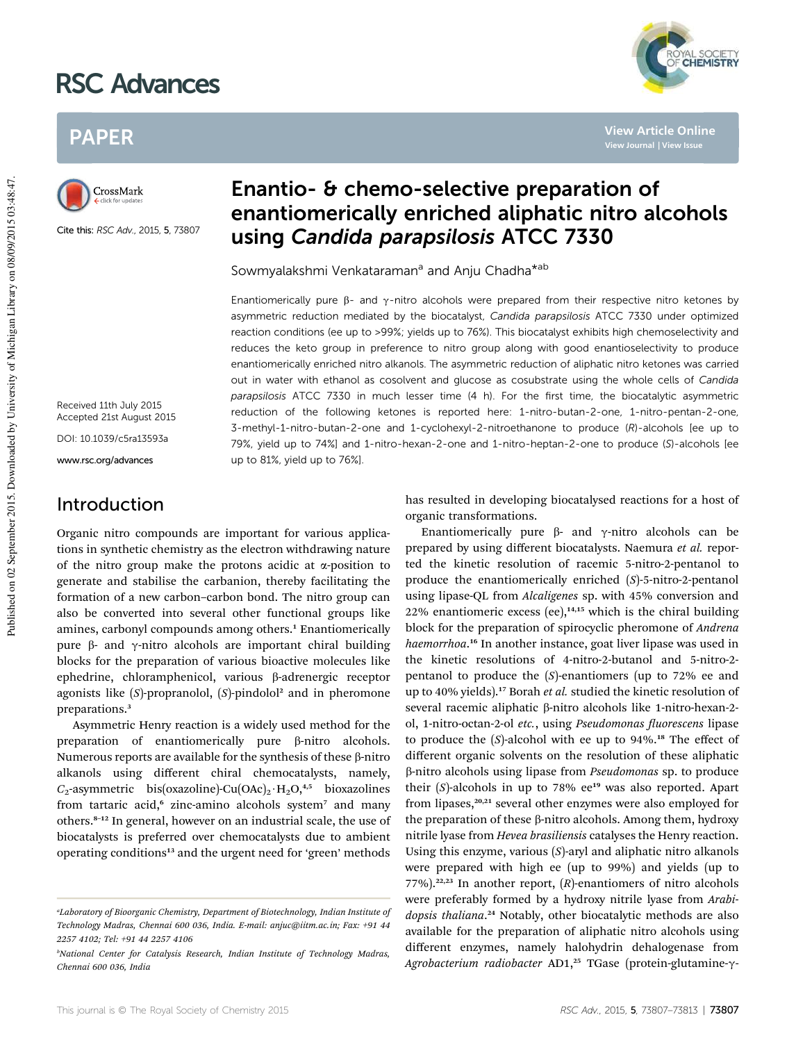# RSC Advances



**View Article Online**

# PAPER



Cite this: RSC Adv., 2015, 5, 73807

## Enantio- & chemo-selective preparation of enantiomerically enriched aliphatic nitro alcohols using Candida parapsilosis ATCC 7330

Sowmyalakshmi Venkataraman<sup>a</sup> and Anju Chadha<sup>\*ab</sup>

Enantiomerically pure  $\beta$ - and  $\gamma$ -nitro alcohols were prepared from their respective nitro ketones by asymmetric reduction mediated by the biocatalyst, Candida parapsilosis ATCC 7330 under optimized reaction conditions (ee up to >99%; yields up to 76%). This biocatalyst exhibits high chemoselectivity and reduces the keto group in preference to nitro group along with good enantioselectivity to produce enantiomerically enriched nitro alkanols. The asymmetric reduction of aliphatic nitro ketones was carried out in water with ethanol as cosolvent and glucose as cosubstrate using the whole cells of Candida parapsilosis ATCC 7330 in much lesser time (4 h). For the first time, the biocatalytic asymmetric reduction of the following ketones is reported here: 1-nitro-butan-2-one, 1-nitro-pentan-2-one, 3-methyl-1-nitro-butan-2-one and 1-cyclohexyl-2-nitroethanone to produce (R)-alcohols [ee up to 79%, yield up to 74%] and 1-nitro-hexan-2-one and 1-nitro-heptan-2-one to produce (S)-alcohols [ee up to 81%, yield up to 76%].

Received 11th July 2015 Accepted 21st August 2015

DOI: 10.1039/c5ra13593a

www.rsc.org/advances

### Introduction

Organic nitro compounds are important for various applications in synthetic chemistry as the electron withdrawing nature of the nitro group make the protons acidic at  $\alpha$ -position to generate and stabilise the carbanion, thereby facilitating the formation of a new carbon–carbon bond. The nitro group can also be converted into several other functional groups like amines, carbonyl compounds among others.<sup>1</sup> Enantiomerically pure  $\beta$ - and  $\gamma$ -nitro alcohols are important chiral building blocks for the preparation of various bioactive molecules like ephedrine, chloramphenicol, various ß-adrenergic receptor agonists like (S)-propranolol, (S)-pindolol<sup>2</sup> and in pheromone preparations.<sup>3</sup>

Asymmetric Henry reaction is a widely used method for the preparation of enantiomerically pure  $\beta$ -nitro alcohols. Numerous reports are available for the synthesis of these  $\beta$ -nitro alkanols using different chiral chemocatalysts, namely,  $C_2$ -asymmetric bis(oxazoline)-Cu(OAc)<sub>2</sub>·H<sub>2</sub>O,<sup>4,5</sup> bioxazolines from tartaric acid,<sup>6</sup> zinc-amino alcohols system<sup>7</sup> and many others.<sup>8</sup>–<sup>12</sup> In general, however on an industrial scale, the use of biocatalysts is preferred over chemocatalysts due to ambient operating conditions<sup>13</sup> and the urgent need for 'green' methods has resulted in developing biocatalysed reactions for a host of organic transformations.

Enantiomerically pure  $\beta$ - and  $\gamma$ -nitro alcohols can be prepared by using different biocatalysts. Naemura *et al.* reported the kinetic resolution of racemic 5-nitro-2-pentanol to produce the enantiomerically enriched (*S*)-5-nitro-2-pentanol using lipase-QL from *Alcaligenes* sp. with 45% conversion and 22% enantiomeric excess (ee), $14,15$  which is the chiral building block for the preparation of spirocyclic pheromone of *Andrena haemorrhoa*. <sup>16</sup> In another instance, goat liver lipase was used in the kinetic resolutions of 4-nitro-2-butanol and 5-nitro-2 pentanol to produce the (*S*)-enantiomers (up to 72% ee and up to 40% yields).<sup>17</sup> Borah *et al.* studied the kinetic resolution of several racemic aliphatic β-nitro alcohols like 1-nitro-hexan-2ol, 1-nitro-octan-2-ol *etc.*, using *Pseudomonas uorescens* lipase to produce the  $(S)$ -alcohol with ee up to  $94\%$ .<sup>18</sup> The effect of different organic solvents on the resolution of these aliphatic b-nitro alcohols using lipase from *Pseudomonas* sp. to produce their  $(S)$ -alcohols in up to 78%  $ee^{19}$  was also reported. Apart from lipases, $20,21$  several other enzymes were also employed for the preparation of these  $\beta$ -nitro alcohols. Among them, hydroxy nitrile lyase from *Hevea brasiliensis* catalyses the Henry reaction. Using this enzyme, various (*S*)-aryl and aliphatic nitro alkanols were prepared with high ee (up to 99%) and yields (up to 77%).<sup>22,23</sup> In another report,  $(R)$ -enantiomers of nitro alcohols were preferably formed by a hydroxy nitrile lyase from *Arabidopsis thaliana*. <sup>24</sup> Notably, other biocatalytic methods are also available for the preparation of aliphatic nitro alcohols using different enzymes, namely halohydrin dehalogenase from Agrobacterium radiobacter AD1,<sup>25</sup> TGase (protein-glutamine-γ-

*<sup>a</sup>Laboratory of Bioorganic Chemistry, Department of Biotechnology, Indian Institute of Technology Madras, Chennai 600 036, India. E-mail: anjuc@iitm.ac.in; Fax: +91 44 2257 4102; Tel: +91 44 2257 4106*

*<sup>b</sup>National Center for Catalysis Research, Indian Institute of Technology Madras, Chennai 600 036, India*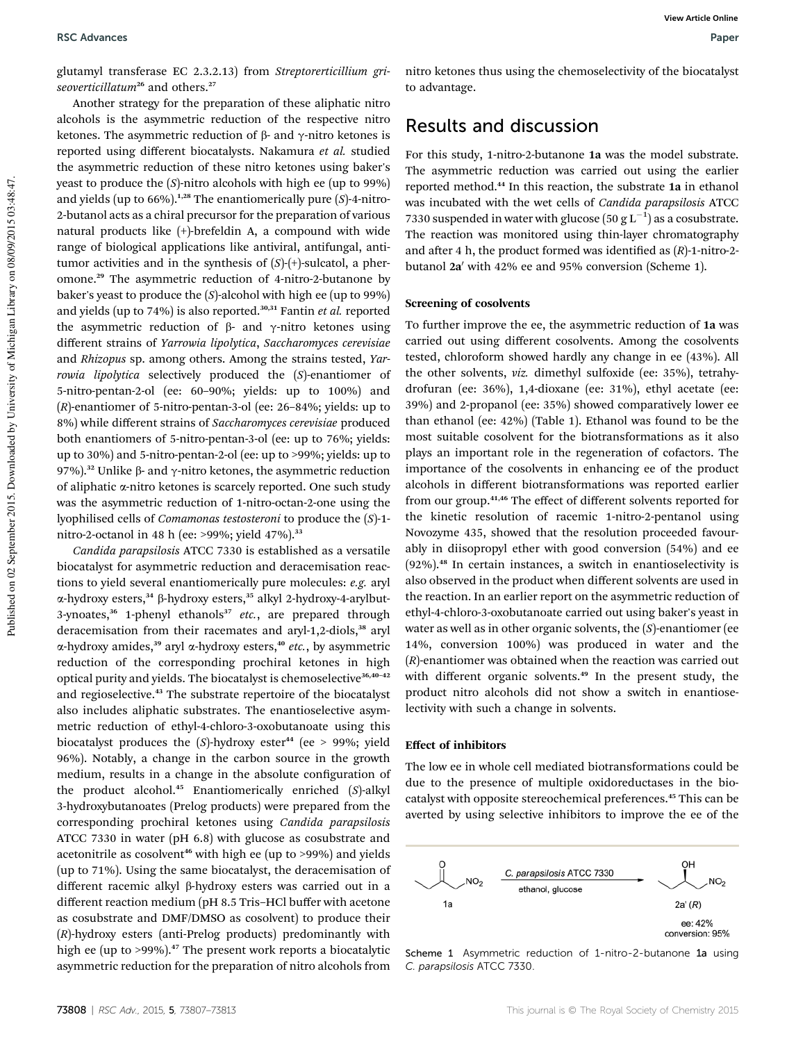glutamyl transferase EC 2.3.2.13) from *Streptorerticillium griseoverticillatum*<sup>26</sup> and others.<sup>27</sup>

Another strategy for the preparation of these aliphatic nitro alcohols is the asymmetric reduction of the respective nitro ketones. The asymmetric reduction of  $\beta$ - and  $\gamma$ -nitro ketones is reported using different biocatalysts. Nakamura *et al.* studied the asymmetric reduction of these nitro ketones using baker's yeast to produce the (*S*)-nitro alcohols with high ee (up to 99%) and yields (up to  $66\%$ ).<sup>1,28</sup> The enantiomerically pure (*S*)-4-nitro-2-butanol acts as a chiral precursor for the preparation of various natural products like (+)-brefeldin A, a compound with wide range of biological applications like antiviral, antifungal, antitumor activities and in the synthesis of (*S*)-(+)-sulcatol, a pheromone.<sup>29</sup> The asymmetric reduction of 4-nitro-2-butanone by baker's yeast to produce the (*S*)-alcohol with high ee (up to 99%) and yields (up to 74%) is also reported.<sup>30,31</sup> Fantin *et al.* reported the asymmetric reduction of  $\beta$ - and  $\gamma$ -nitro ketones using different strains of *Yarrowia lipolytica*, *Saccharomyces cerevisiae* and *Rhizopus* sp. among others. Among the strains tested, *Yarrowia lipolytica* selectively produced the (*S*)-enantiomer of 5-nitro-pentan-2-ol (ee: 60–90%; yields: up to 100%) and (*R*)-enantiomer of 5-nitro-pentan-3-ol (ee: 26–84%; yields: up to 8%) while different strains of *Saccharomyces cerevisiae* produced both enantiomers of 5-nitro-pentan-3-ol (ee: up to 76%; yields: up to 30%) and 5-nitro-pentan-2-ol (ee: up to >99%; yields: up to 97%).<sup>32</sup> Unlike  $\beta$ - and  $\gamma$ -nitro ketones, the asymmetric reduction of aliphatic a-nitro ketones is scarcely reported. One such study was the asymmetric reduction of 1-nitro-octan-2-one using the lyophilised cells of *Comamonas testosteroni* to produce the (*S*)-1 nitro-2-octanol in 48 h (ee: >99%; yield 47%).<sup>33</sup>

*Candida parapsilosis* ATCC 7330 is established as a versatile biocatalyst for asymmetric reduction and deracemisation reactions to yield several enantiomerically pure molecules: *e.g.* aryl α-hydroxy esters,<sup>34</sup> β-hydroxy esters,<sup>35</sup> alkyl 2-hydroxy-4-arylbut-3-ynoates,<sup>36</sup> 1-phenyl ethanols<sup>37</sup> etc., are prepared through deracemisation from their racemates and aryl-1,2-diols,<sup>38</sup> aryl α-hydroxy amides,<sup>39</sup> aryl α-hydroxy esters,<sup>40</sup> etc., by asymmetric reduction of the corresponding prochiral ketones in high optical purity and yields. The biocatalyst is chemoselective<sup>36,40-42</sup> and regioselective.<sup>43</sup> The substrate repertoire of the biocatalyst also includes aliphatic substrates. The enantioselective asymmetric reduction of ethyl-4-chloro-3-oxobutanoate using this biocatalyst produces the  $(S)$ -hydroxy ester<sup>44</sup> (ee > 99%; yield 96%). Notably, a change in the carbon source in the growth medium, results in a change in the absolute configuration of the product alcohol.<sup>45</sup> Enantiomerically enriched (*S*)-alkyl 3-hydroxybutanoates (Prelog products) were prepared from the corresponding prochiral ketones using *Candida parapsilosis* ATCC 7330 in water (pH 6.8) with glucose as cosubstrate and acetonitrile as cosolvent<sup>46</sup> with high ee (up to  $>$ 99%) and yields (up to 71%). Using the same biocatalyst, the deracemisation of different racemic alkyl β-hydroxy esters was carried out in a different reaction medium (pH 8.5 Tris–HCl buffer with acetone as cosubstrate and DMF/DMSO as cosolvent) to produce their (*R*)-hydroxy esters (anti-Prelog products) predominantly with high ee (up to >99%).<sup>47</sup> The present work reports a biocatalytic asymmetric reduction for the preparation of nitro alcohols from nitro ketones thus using the chemoselectivity of the biocatalyst to advantage.

### Results and discussion

For this study, 1-nitro-2-butanone 1a was the model substrate. The asymmetric reduction was carried out using the earlier reported method.<sup>44</sup> In this reaction, the substrate 1a in ethanol was incubated with the wet cells of *Candida parapsilosis* ATCC 7330 suspended in water with glucose  $(50 \text{ g L}^{-1})$  as a cosubstrate. The reaction was monitored using thin-layer chromatography and after 4 h, the product formed was identified as  $(R)$ -1-nitro-2butanol 2a' with 42% ee and 95% conversion (Scheme 1).

#### Screening of cosolvents

To further improve the ee, the asymmetric reduction of 1a was carried out using different cosolvents. Among the cosolvents tested, chloroform showed hardly any change in ee (43%). All the other solvents, *viz.* dimethyl sulfoxide (ee: 35%), tetrahydrofuran (ee: 36%), 1,4-dioxane (ee: 31%), ethyl acetate (ee: 39%) and 2-propanol (ee: 35%) showed comparatively lower ee than ethanol (ee: 42%) (Table 1). Ethanol was found to be the most suitable cosolvent for the biotransformations as it also plays an important role in the regeneration of cofactors. The importance of the cosolvents in enhancing ee of the product alcohols in different biotransformations was reported earlier from our group.<sup>41,46</sup> The effect of different solvents reported for the kinetic resolution of racemic 1-nitro-2-pentanol using Novozyme 435, showed that the resolution proceeded favourably in diisopropyl ether with good conversion (54%) and ee (92%).<sup>48</sup> In certain instances, a switch in enantioselectivity is also observed in the product when different solvents are used in the reaction. In an earlier report on the asymmetric reduction of ethyl-4-chloro-3-oxobutanoate carried out using baker's yeast in water as well as in other organic solvents, the (*S*)-enantiomer (ee 14%, conversion 100%) was produced in water and the (*R*)-enantiomer was obtained when the reaction was carried out with different organic solvents.<sup>49</sup> In the present study, the product nitro alcohols did not show a switch in enantioselectivity with such a change in solvents.

#### Effect of inhibitors

The low ee in whole cell mediated biotransformations could be due to the presence of multiple oxidoreductases in the biocatalyst with opposite stereochemical preferences.<sup>45</sup> This can be averted by using selective inhibitors to improve the ee of the



Scheme 1 Asymmetric reduction of 1-nitro-2-butanone 1a using C. parapsilosis ATCC 7330.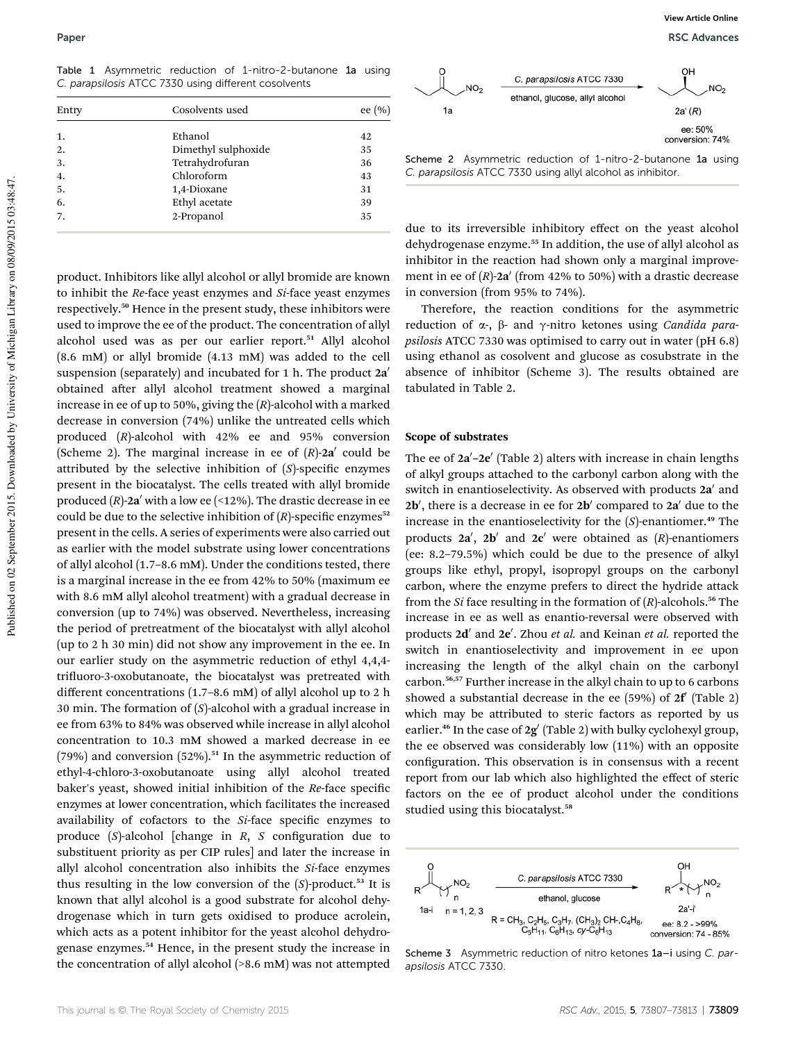Table 1 Asymmetric reduction of 1-nitro-2-butanone 1a using C. parapsilosis ATCC 7330 using different cosolvents

| Entry            | Cosolvents used     | ee $(\% )$ |
|------------------|---------------------|------------|
| 1.               | Ethanol             | 42         |
| 2.               | Dimethyl sulphoxide | 35         |
| 3.               | Tetrahydrofuran     | 36         |
| $\overline{4}$ . | Chloroform          | 43         |
| 5.               | 1,4-Dioxane         | 31         |
| 6.               | Ethyl acetate       | 39         |
| 7.               | 2-Propanol          | 35         |
|                  |                     |            |

product. Inhibitors like allyl alcohol or allyl bromide are known to inhibit the *Re*-face yeast enzymes and *Si*-face yeast enzymes respectively.<sup>50</sup> Hence in the present study, these inhibitors were used to improve the ee of the product. The concentration of allyl alcohol used was as per our earlier report.<sup>51</sup> Allyl alcohol (8.6 mM) or allyl bromide (4.13 mM) was added to the cell suspension (separately) and incubated for  $1$  h. The product  $2a'$ obtained after allyl alcohol treatment showed a marginal increase in ee of up to 50%, giving the (*R*)-alcohol with a marked decrease in conversion (74%) unlike the untreated cells which produced (*R*)-alcohol with 42% ee and 95% conversion (Scheme 2). The marginal increase in ee of  $(R)$ -2a' could be attributed by the selective inhibition of  $(S)$ -specific enzymes present in the biocatalyst. The cells treated with allyl bromide produced  $(R)$ -2a' with a low ee (<12%). The drastic decrease in ee could be due to the selective inhibition of  $(R)$ -specific enzymes<sup>52</sup> present in the cells. A series of experiments were also carried out as earlier with the model substrate using lower concentrations of allyl alcohol (1.7–8.6 mM). Under the conditions tested, there is a marginal increase in the ee from 42% to 50% (maximum ee with 8.6 mM allyl alcohol treatment) with a gradual decrease in conversion (up to 74%) was observed. Nevertheless, increasing the period of pretreatment of the biocatalyst with allyl alcohol (up to 2 h 30 min) did not show any improvement in the ee. In our earlier study on the asymmetric reduction of ethyl 4,4,4 trifluoro-3-oxobutanoate, the biocatalyst was pretreated with different concentrations (1.7–8.6 mM) of allyl alcohol up to 2 h 30 min. The formation of (*S*)-alcohol with a gradual increase in ee from 63% to 84% was observed while increase in allyl alcohol concentration to 10.3 mM showed a marked decrease in ee (79%) and conversion (52%).<sup>51</sup> In the asymmetric reduction of ethyl-4-chloro-3-oxobutanoate using allyl alcohol treated baker's yeast, showed initial inhibition of the *Re-face specific* enzymes at lower concentration, which facilitates the increased availability of cofactors to the *Si*-face specific enzymes to produce (*S*)-alcohol [change in *R*, *S* configuration due to substituent priority as per CIP rules] and later the increase in allyl alcohol concentration also inhibits the *Si*-face enzymes thus resulting in the low conversion of the  $(S)$ -product.<sup>53</sup> It is known that allyl alcohol is a good substrate for alcohol dehydrogenase which in turn gets oxidised to produce acrolein, which acts as a potent inhibitor for the yeast alcohol dehydrogenase enzymes.<sup>54</sup> Hence, in the present study the increase in the concentration of allyl alcohol (>8.6 mM) was not attempted



Scheme 2 Asymmetric reduction of 1-nitro-2-butanone 1a using C. parapsilosis ATCC 7330 using allyl alcohol as inhibitor.

due to its irreversible inhibitory effect on the yeast alcohol dehydrogenase enzyme.<sup>55</sup> In addition, the use of allyl alcohol as inhibitor in the reaction had shown only a marginal improvement in ee of  $(R)$ -2a' (from 42% to 50%) with a drastic decrease in conversion (from 95% to 74%).

Therefore, the reaction conditions for the asymmetric reduction of α-, β- and γ-nitro ketones using *Candida parapsilosis* ATCC 7330 was optimised to carry out in water (pH 6.8) using ethanol as cosolvent and glucose as cosubstrate in the absence of inhibitor (Scheme 3). The results obtained are tabulated in Table 2.

#### Scope of substrates

The ee of 2a'-2e' (Table 2) alters with increase in chain lengths of alkyl groups attached to the carbonyl carbon along with the switch in enantioselectivity. As observed with products 2a' and 2b', there is a decrease in ee for 2b' compared to 2a' due to the increase in the enantioselectivity for the (*S*)-enantiomer.<sup>49</sup> The products  $2a'$ ,  $2b'$  and  $2c'$  were obtained as  $(R)$ -enantiomers (ee: 8.2–79.5%) which could be due to the presence of alkyl groups like ethyl, propyl, isopropyl groups on the carbonyl carbon, where the enzyme prefers to direct the hydride attack from the *Si* face resulting in the formation of (*R*)-alcohols.<sup>56</sup> The increase in ee as well as enantio-reversal were observed with products 2d' and 2e'. Zhou et al. and Keinan et al. reported the switch in enantioselectivity and improvement in ee upon increasing the length of the alkyl chain on the carbonyl carbon.56,57 Further increase in the alkyl chain to up to 6 carbons showed a substantial decrease in the ee  $(59%)$  of  $2f$  (Table 2) which may be attributed to steric factors as reported by us earlier.<sup>46</sup> In the case of  $2g'$  (Table 2) with bulky cyclohexyl group, the ee observed was considerably low (11%) with an opposite configuration. This observation is in consensus with a recent report from our lab which also highlighted the effect of steric factors on the ee of product alcohol under the conditions studied using this biocatalyst.<sup>58</sup>



Scheme 3 Asymmetric reduction of nitro ketones 1a-i using C. parapsilosis ATCC 7330.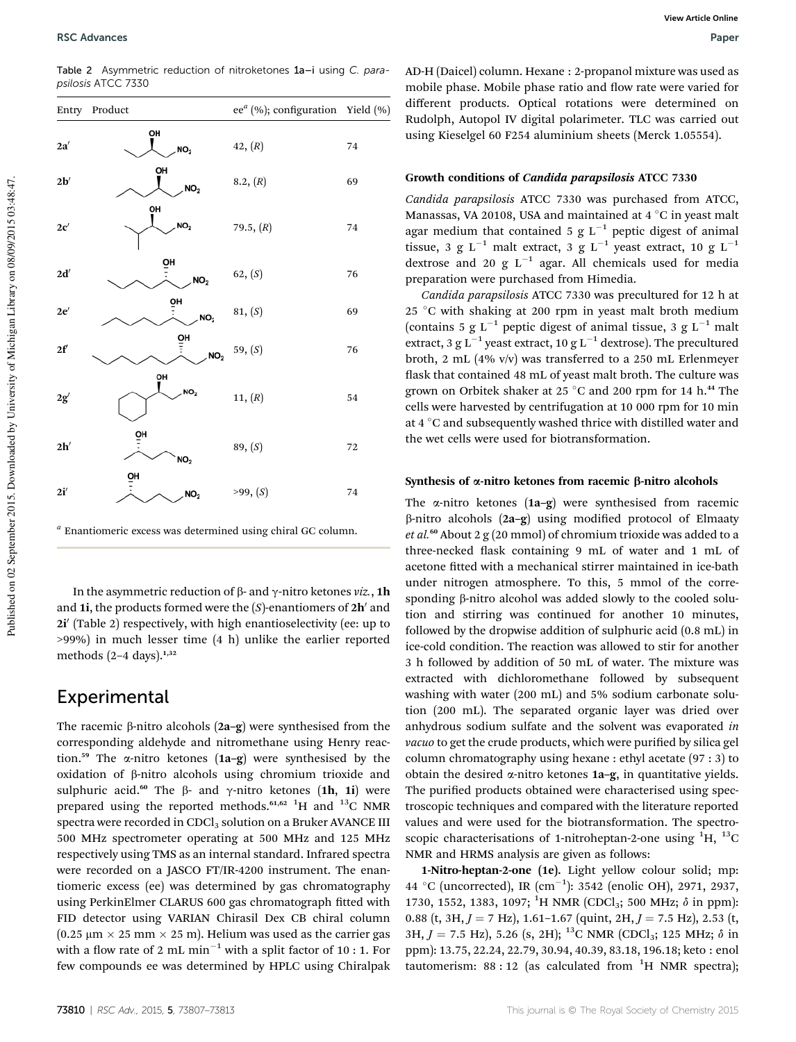Table 2 Asymmetric reduction of nitroketones 1a–i using C. parapsilosis ATCC 7330

|                | Entry Product         | ee <sup>a</sup> (%); configuration Yield (%) |    |
|----------------|-----------------------|----------------------------------------------|----|
| 2a'            | OH<br>NO <sub>2</sub> | 42, (R)                                      | 74 |
| $2\mathbf{b}'$ | OH<br>NO <sub>2</sub> | 8.2, (R)                                     | 69 |
| 2c'            | OH<br>NO <sub>2</sub> | 79.5, $(R)$                                  | 74 |
| 2d'            | OH<br>NO <sub>2</sub> | 62, (S)                                      | 76 |
| 2e'            | ŌH<br>NO <sub>2</sub> | 81, (S)                                      | 69 |
| $2\mathbf{f}'$ | 앸<br>NO <sub>2</sub>  | 59, (S)                                      | 76 |
| 2g'            | OH<br>NO <sub>2</sub> | 11, (R)                                      | 54 |
| 2h'            | ŌH<br>NO <sub>2</sub> | 89, (S)                                      | 72 |
| 2i'            | 앸<br>NO <sub>2</sub>  | >99, (S)                                     | 74 |

*a* Enantiomeric excess was determined using chiral GC column.

In the asymmetric reduction of  $\beta$ - and  $\gamma$ -nitro ketones *viz.*, 1h and 1i, the products formed were the  $(S)$ -enantiomers of  $2h'$  and 2i' (Table 2) respectively, with high enantioselectivity (ee: up to >99%) in much lesser time (4 h) unlike the earlier reported methods  $(2-4 \text{ days})$ .<sup>1,32</sup>

### Experimental

The racemic  $\beta$ -nitro alcohols (2a–g) were synthesised from the corresponding aldehyde and nitromethane using Henry reaction.<sup>59</sup> The  $\alpha$ -nitro ketones (1a-g) were synthesised by the oxidation of b-nitro alcohols using chromium trioxide and sulphuric acid.<sup>60</sup> The  $\beta$ - and  $\gamma$ -nitro ketones (1h, 1i) were prepared using the reported methods.<sup>61,62</sup> <sup>1</sup>H and <sup>13</sup>C NMR spectra were recorded in CDCl<sub>3</sub> solution on a Bruker AVANCE III 500 MHz spectrometer operating at 500 MHz and 125 MHz respectively using TMS as an internal standard. Infrared spectra were recorded on a JASCO FT/IR-4200 instrument. The enantiomeric excess (ee) was determined by gas chromatography using PerkinElmer CLARUS 600 gas chromatograph fitted with FID detector using VARIAN Chirasil Dex CB chiral column  $(0.25 \text{ µm} \times 25 \text{ mm} \times 25 \text{ m})$ . Helium was used as the carrier gas with a flow rate of 2 mL min<sup>-1</sup> with a split factor of 10 : 1. For few compounds ee was determined by HPLC using Chiralpak

AD-H (Daicel) column. Hexane : 2-propanol mixture was used as mobile phase. Mobile phase ratio and flow rate were varied for different products. Optical rotations were determined on Rudolph, Autopol IV digital polarimeter. TLC was carried out using Kieselgel 60 F254 aluminium sheets (Merck 1.05554).

#### Growth conditions of Candida parapsilosis ATCC 7330

*Candida parapsilosis* ATCC 7330 was purchased from ATCC, Manassas, VA 20108, USA and maintained at 4  $\rm{°C}$  in yeast malt agar medium that contained 5 g  $L^{-1}$  peptic digest of animal tissue, 3 g L<sup>-1</sup> malt extract, 3 g L<sup>-1</sup> yeast extract, 10 g L<sup>-1</sup> dextrose and 20 g  $L^{-1}$  agar. All chemicals used for media preparation were purchased from Himedia.

*Candida parapsilosis* ATCC 7330 was precultured for 12 h at 25 °C with shaking at 200 rpm in yeast malt broth medium (contains 5 g  $L^{-1}$  peptic digest of animal tissue, 3 g  $L^{-1}$  malt extract, 3 g L<sup>-1</sup> yeast extract, 10 g L<sup>-1</sup> dextrose). The precultured broth, 2 mL (4% v/v) was transferred to a 250 mL Erlenmeyer flask that contained 48 mL of yeast malt broth. The culture was grown on Orbitek shaker at 25 °C and 200 rpm for 14 h.<sup>44</sup> The cells were harvested by centrifugation at 10 000 rpm for 10 min at 4  $\degree$ C and subsequently washed thrice with distilled water and the wet cells were used for biotransformation.

#### Synthesis of  $\alpha$ -nitro ketones from racemic  $\beta$ -nitro alcohols

The  $\alpha$ -nitro ketones (1a–g) were synthesised from racemic  $\beta$ -nitro alcohols (2a–g) using modified protocol of Elmaaty *et al.*<sup>60</sup> About 2 g (20 mmol) of chromium trioxide was added to a three-necked flask containing 9 mL of water and 1 mL of acetone fitted with a mechanical stirrer maintained in ice-bath under nitrogen atmosphere. To this, 5 mmol of the corresponding  $\beta$ -nitro alcohol was added slowly to the cooled solution and stirring was continued for another 10 minutes, followed by the dropwise addition of sulphuric acid (0.8 mL) in ice-cold condition. The reaction was allowed to stir for another 3 h followed by addition of 50 mL of water. The mixture was extracted with dichloromethane followed by subsequent washing with water (200 mL) and 5% sodium carbonate solution (200 mL). The separated organic layer was dried over anhydrous sodium sulfate and the solvent was evaporated *in* vacuo to get the crude products, which were purified by silica gel column chromatography using hexane : ethyl acetate (97 : 3) to obtain the desired  $\alpha$ -nitro ketones 1a-g, in quantitative yields. The purified products obtained were characterised using spectroscopic techniques and compared with the literature reported values and were used for the biotransformation. The spectroscopic characterisations of 1-nitroheptan-2-one using  ${}^{1}H$ ,  ${}^{13}C$ NMR and HRMS analysis are given as follows:

1-Nitro-heptan-2-one (1e). Light yellow colour solid; mp: 44 °C (uncorrected), IR  $\text{(cm}^{-1})$ : 3542 (enolic OH), 2971, 2937, 1730, 1552, 1383, 1097; <sup>1</sup>H NMR (CDCl<sub>3</sub>; 500 MHz;  $\delta$  in ppm): 0.88 (t, 3H,  $J = 7$  Hz), 1.61-1.67 (quint, 2H,  $J = 7.5$  Hz), 2.53 (t, 3H,  $J = 7.5$  Hz), 5.26 (s, 2H); <sup>13</sup>C NMR (CDCl<sub>3</sub>; 125 MHz;  $\delta$  in ppm): 13.75, 22.24, 22.79, 30.94, 40.39, 83.18, 196.18; keto : enol tautomerism:  $88:12$  (as calculated from <sup>1</sup>H NMR spectra);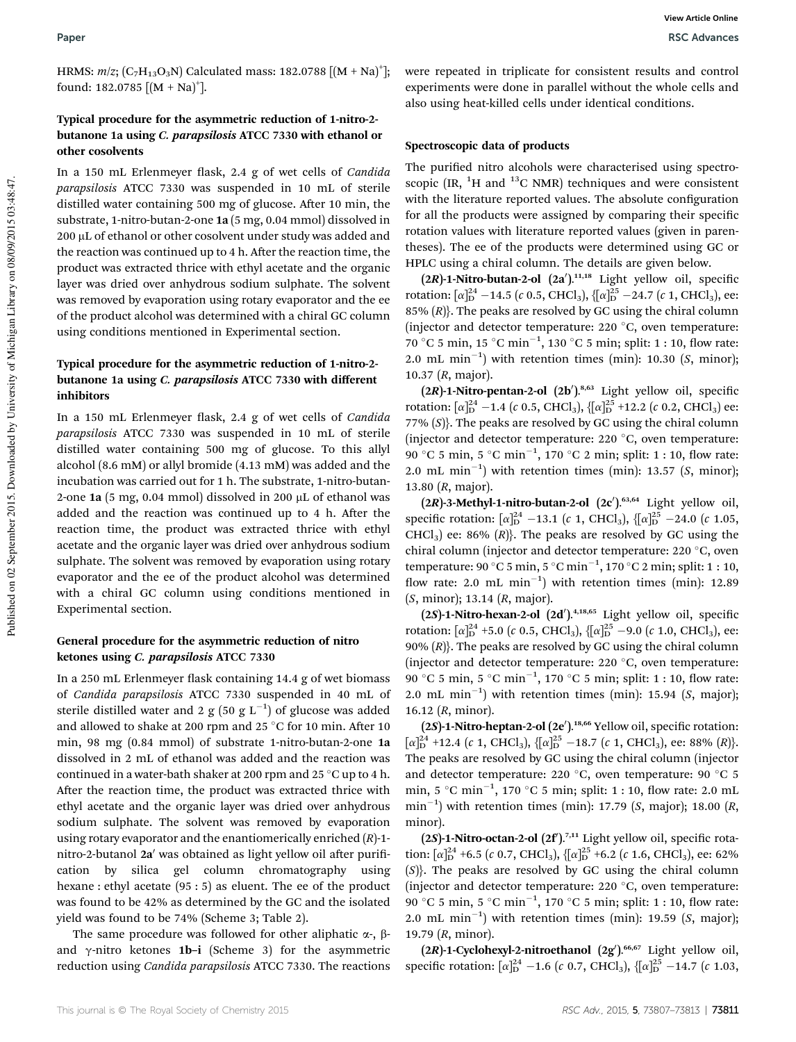HRMS: *m*/z; (C<sub>7</sub>H<sub>13</sub>O<sub>3</sub>N) Calculated mass: 182.0788 [(M + Na)<sup>+</sup>]; found: 182.0785  $[(M + Na)<sup>+</sup>].$ 

#### Typical procedure for the asymmetric reduction of 1-nitro-2 butanone 1a using C. parapsilosis ATCC 7330 with ethanol or other cosolvents

In a 150 mL Erlenmeyer flask, 2.4 g of wet cells of *Candida parapsilosis* ATCC 7330 was suspended in 10 mL of sterile distilled water containing 500 mg of glucose. After 10 min, the substrate, 1-nitro-butan-2-one 1a (5 mg, 0.04 mmol) dissolved in 200 µL of ethanol or other cosolvent under study was added and the reaction was continued up to 4 h. After the reaction time, the product was extracted thrice with ethyl acetate and the organic layer was dried over anhydrous sodium sulphate. The solvent was removed by evaporation using rotary evaporator and the ee of the product alcohol was determined with a chiral GC column using conditions mentioned in Experimental section.

#### Typical procedure for the asymmetric reduction of 1-nitro-2 butanone 1a using C. parapsilosis ATCC 7330 with different inhibitors

In a 150 mL Erlenmeyer flask, 2.4 g of wet cells of *Candida parapsilosis* ATCC 7330 was suspended in 10 mL of sterile distilled water containing 500 mg of glucose. To this allyl alcohol (8.6 mM) or allyl bromide (4.13 mM) was added and the incubation was carried out for 1 h. The substrate, 1-nitro-butan-2-one 1a (5 mg, 0.04 mmol) dissolved in 200  $\mu$ L of ethanol was added and the reaction was continued up to 4 h. After the reaction time, the product was extracted thrice with ethyl acetate and the organic layer was dried over anhydrous sodium sulphate. The solvent was removed by evaporation using rotary evaporator and the ee of the product alcohol was determined with a chiral GC column using conditions mentioned in Experimental section.

#### General procedure for the asymmetric reduction of nitro ketones using C. parapsilosis ATCC 7330

In a 250 mL Erlenmeyer flask containing 14.4 g of wet biomass of *Candida parapsilosis* ATCC 7330 suspended in 40 mL of sterile distilled water and 2  $g$  (50  $g$  L<sup>-1</sup>) of glucose was added and allowed to shake at 200 rpm and 25 °C for 10 min. After 10 min, 98 mg (0.84 mmol) of substrate 1-nitro-butan-2-one 1a dissolved in 2 mL of ethanol was added and the reaction was continued in a water-bath shaker at 200 rpm and 25  $^{\circ}$ C up to 4 h. After the reaction time, the product was extracted thrice with ethyl acetate and the organic layer was dried over anhydrous sodium sulphate. The solvent was removed by evaporation using rotary evaporator and the enantiomerically enriched (*R*)-1 nitro-2-butanol 2a' was obtained as light yellow oil after purification by silica gel column chromatography using hexane : ethyl acetate (95 : 5) as eluent. The ee of the product was found to be 42% as determined by the GC and the isolated yield was found to be 74% (Scheme 3; Table 2).

The same procedure was followed for other aliphatic  $\alpha$ -,  $\beta$ and  $\gamma$ -nitro ketones 1b-i (Scheme 3) for the asymmetric reduction using *Candida parapsilosis* ATCC 7330. The reactions

were repeated in triplicate for consistent results and control experiments were done in parallel without the whole cells and also using heat-killed cells under identical conditions.

#### Spectroscopic data of products

The purified nitro alcohols were characterised using spectroscopic  $[IR, {}^{1}H$  and  ${}^{13}C$  NMR) techniques and were consistent with the literature reported values. The absolute configuration for all the products were assigned by comparing their specific rotation values with literature reported values (given in parentheses). The ee of the products were determined using GC or HPLC using a chiral column. The details are given below.

 $(2R)$ -1-Nitro-butan-2-ol  $(2a')$ .<sup>11,18</sup> Light yellow oil, specific rotation:  $[\alpha]_{\text{D}}^{24}$  –14.5 (*c* 0.5, CHCl<sub>3</sub>), {[ $\alpha]_{\text{D}}^{25}$  –24.7 (*c* 1, CHCl<sub>3</sub>), ee: 85% (*R*)}. The peaks are resolved by GC using the chiral column (injector and detector temperature:  $220\text{ °C}$ , oven temperature:  $70\degree$ C 5 min, 15  $\degree$ C min<sup>-1</sup>, 130  $\degree$ C 5 min; split: 1 : 10, flow rate: 2.0 mL min<sup>-1</sup>) with retention times (min): 10.30 (*S*, minor); 10.37 (*R*, major).

 $(2R)$ -1-Nitro-pentan-2-ol  $(2b')$ .<sup>8,63</sup> Light yellow oil, specific rotation:  $[\alpha]_{\text{D}}^{24}$  –1.4 (*c* 0.5, CHCl<sub>3</sub>), { $[\alpha]_{\text{D}}^{25}$  +12.2 (*c* 0.2, CHCl<sub>3</sub>) ee: 77% (*S*)}. The peaks are resolved by GC using the chiral column (injector and detector temperature:  $220\text{ °C}$ , oven temperature:  $90^{\circ}$ C 5 min, 5  $^{\circ}$ C min<sup>-1</sup>, 170  $^{\circ}$ C 2 min; split: 1 : 10, flow rate: 2.0 mL min<sup>-1</sup>) with retention times (min): 13.57 (*S*, minor); 13.80 (*R*, major).

 $(2R)$ -3-Methyl-1-nitro-butan-2-ol  $(2c')$ .<sup>63,64</sup> Light yellow oil, specific rotation:  $\left[\alpha\right]_{D}^{24}$  -13.1 (*c* 1, CHCl<sub>3</sub>),  $\{\left[\alpha\right]_{D}^{25}$  -24.0 (*c* 1.05, CHCl<sub>3</sub>) ee: 86%  $(R)$ . The peaks are resolved by GC using the chiral column (injector and detector temperature:  $220^{\circ}$ C, oven temperature: 90 °C 5 min, 5 °C min<sup>-1</sup>, 170 °C 2 min; split: 1 : 10, flow rate: 2.0 mL  $min^{-1}$ ) with retention times (min): 12.89 (*S*, minor); 13.14 (*R*, major).

 $(2S)$ -1-Nitro-hexan-2-ol  $(2d')$ .<sup>4,18,65</sup> Light yellow oil, specific rotation:  $[\alpha]_{\text{D}}^{24}$  +5.0 (*c* 0.5, CHCl<sub>3</sub>), {[ $\alpha]_{\text{D}}^{25}$  –9.0 (*c* 1.0, CHCl<sub>3</sub>), ee: 90% (*R*)}. The peaks are resolved by GC using the chiral column (injector and detector temperature:  $220\text{ °C}$ , oven temperature:  $90^{\circ}$ C 5 min, 5  $^{\circ}$ C min<sup>-1</sup>, 170  $^{\circ}$ C 5 min; split: 1 : 10, flow rate: 2.0 mL min<sup>-1</sup>) with retention times (min): 15.94 ( $S$ , major); 16.12 (*R*, minor).

(2S)-1-Nitro-heptan-2-ol (2e').<sup>18,66</sup> Yellow oil, specific rotation:  $[\alpha]_{\text{D}}^{24}$  +12.4 (*c* 1, CHCl<sub>3</sub>), { $[\alpha]_{\text{D}}^{25}$  -18.7 (*c* 1, CHCl<sub>3</sub>), ee: 88% (*R*)}. The peaks are resolved by GC using the chiral column (injector and detector temperature: 220  $^{\circ}$ C, oven temperature: 90  $^{\circ}$ C 5 min, 5 °C min<sup>-1</sup>, 170 °C 5 min; split: 1 : 10, flow rate: 2.0 mL min<sup>-1</sup>) with retention times (min): 17.79 (*S*, major); 18.00 (*R*, minor).

 $(2S)$ -1-Nitro-octan-2-ol  $(2f)$ .<sup>7,11</sup> Light yellow oil, specific rotation:  $\lbrack \alpha \rbrack_{D}^{24}$  +6.5 (*c* 0.7, CHCl<sub>3</sub>), { $\lbrack \alpha \rbrack_{D}^{25}$  +6.2 (*c* 1.6, CHCl<sub>3</sub>), ee: 62% (*S*)}. The peaks are resolved by GC using the chiral column (injector and detector temperature:  $220\text{ °C}$ , oven temperature:  $90^{\circ}$ C 5 min, 5  $^{\circ}$ C min<sup>-1</sup>, 170  $^{\circ}$ C 5 min; split: 1 : 10, flow rate: 2.0 mL min<sup>-1</sup>) with retention times (min): 19.59 (*S*, major); 19.79 (*R*, minor).

 $(2R)$ -1-Cyclohexyl-2-nitroethanol  $(2g')$ .<sup>66,67</sup> Light yellow oil, specific rotation:  $\left[\alpha\right]_{D}^{24}$  -1.6 (*c* 0.7, CHCl<sub>3</sub>),  $\{\left[\alpha\right]_{D}^{25}$  -14.7 (*c* 1.03,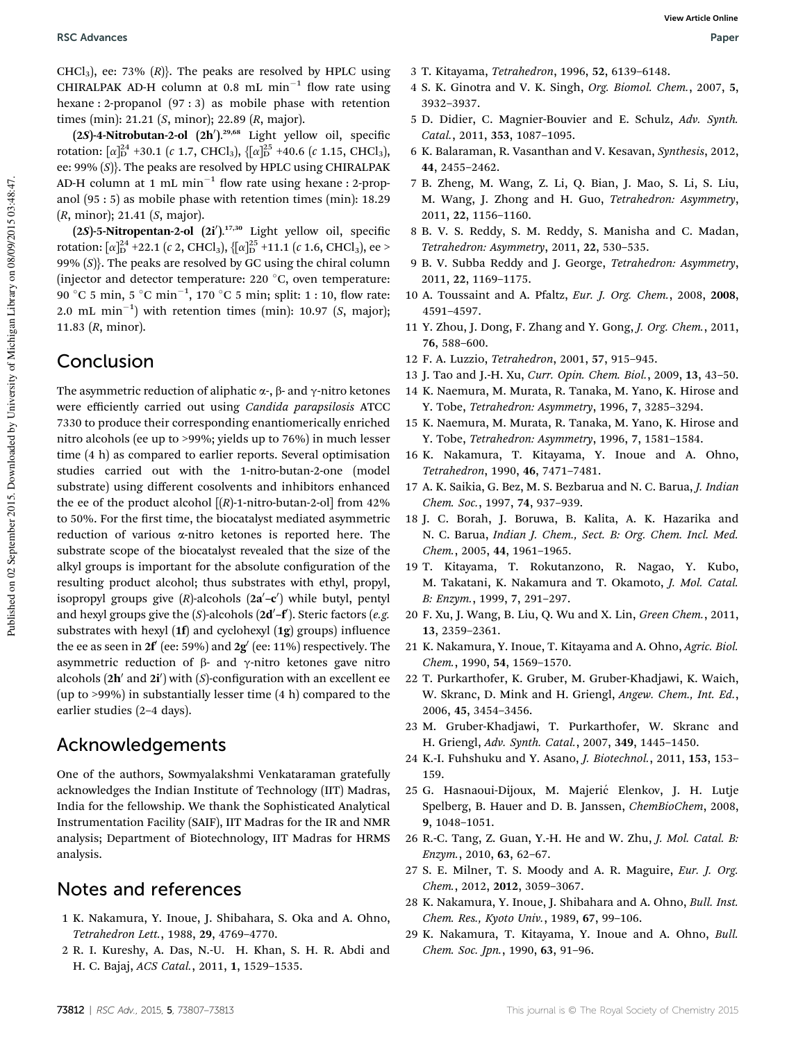CHCl<sub>3</sub>), ee: 73%  $(R)$ . The peaks are resolved by HPLC using CHIRALPAK AD-H column at 0.8 mL  $min^{-1}$  flow rate using hexane : 2-propanol (97 : 3) as mobile phase with retention times (min): 21.21 (*S*, minor); 22.89 (*R*, major).

 $(2S)$ -4-Nitrobutan-2-ol  $(2h')$ .<sup>29,68</sup> Light yellow oil, specific rotation:  $[\alpha]_{\text{D}}^{24}$  +30.1 (*c* 1.7, CHCl<sub>3</sub>), { $[\alpha]_{\text{D}}^{25}$  +40.6 (*c* 1.15, CHCl<sub>3</sub>), ee: 99% (*S*)}. The peaks are resolved by HPLC using CHIRALPAK AD-H column at  $1 \text{ mL min}^{-1}$  flow rate using hexane : 2-propanol (95 : 5) as mobile phase with retention times (min): 18.29 (*R*, minor); 21.41 (*S*, major).

 $(2S)$ -5-Nitropentan-2-ol  $(2i')$ .<sup>17,30</sup> Light yellow oil, specific rotation: [ $\alpha$ ] $_{\text{D}}^{24}$  +22.1 (*c* 2, CHCl<sub>3</sub>), {[ $\alpha$ ] $_{\text{D}}^{25}$  +11.1 (*c* 1.6, CHCl<sub>3</sub>), ee > 99% (*S*)}. The peaks are resolved by GC using the chiral column (injector and detector temperature:  $220\text{ °C}$ , oven temperature:  $90\degree$ C 5 min, 5  $\degree$ C min<sup>-1</sup>, 170  $\degree$ C 5 min; split: 1 : 10, flow rate:  $2.0$  mL min<sup>-1</sup>) with retention times (min):  $10.97$  (*S*, major); 11.83 (*R*, minor).

### Conclusion

The asymmetric reduction of aliphatic  $\alpha$ -,  $\beta$ - and  $\gamma$ -nitro ketones were efficiently carried out using *Candida parapsilosis* ATCC 7330 to produce their corresponding enantiomerically enriched nitro alcohols (ee up to >99%; yields up to 76%) in much lesser time (4 h) as compared to earlier reports. Several optimisation studies carried out with the 1-nitro-butan-2-one (model substrate) using different cosolvents and inhibitors enhanced the ee of the product alcohol  $[(R)$ -1-nitro-butan-2-ol] from 42% to 50%. For the first time, the biocatalyst mediated asymmetric reduction of various a-nitro ketones is reported here. The substrate scope of the biocatalyst revealed that the size of the alkyl groups is important for the absolute configuration of the resulting product alcohol; thus substrates with ethyl, propyl, isopropyl groups give (R)-alcohols (2a'-c') while butyl, pentyl and hexyl groups give the (*S*)-alcohols (2**d'-f'**). Steric factors (e.g. substrates with hexyl  $(1f)$  and cyclohexyl  $(1g)$  groups) influence the ee as seen in  $2\mathbf{f}'$  (ee: 59%) and  $2\mathbf{g}'$  (ee: 11%) respectively. The asymmetric reduction of  $\beta$ - and  $\gamma$ -nitro ketones gave nitro alcohols (2h' and 2i') with (*S*)-configuration with an excellent ee (up to >99%) in substantially lesser time (4 h) compared to the earlier studies (2–4 days).

### Acknowledgements

One of the authors, Sowmyalakshmi Venkataraman gratefully acknowledges the Indian Institute of Technology (IIT) Madras, India for the fellowship. We thank the Sophisticated Analytical Instrumentation Facility (SAIF), IIT Madras for the IR and NMR analysis; Department of Biotechnology, IIT Madras for HRMS analysis.

### Notes and references

- 1 K. Nakamura, Y. Inoue, J. Shibahara, S. Oka and A. Ohno, *Tetrahedron Lett.*, 1988, 29, 4769–4770.
- 2 R. I. Kureshy, A. Das, N.-U. H. Khan, S. H. R. Abdi and H. C. Bajaj, *ACS Catal.*, 2011, 1, 1529–1535.
- 3 T. Kitayama, *Tetrahedron*, 1996, 52, 6139–6148.
- 4 S. K. Ginotra and V. K. Singh, *Org. Biomol. Chem.*, 2007, 5, 3932–3937.
- 5 D. Didier, C. Magnier-Bouvier and E. Schulz, *Adv. Synth. Catal.*, 2011, 353, 1087–1095.
- 6 K. Balaraman, R. Vasanthan and V. Kesavan, *Synthesis*, 2012, 44, 2455–2462.
- 7 B. Zheng, M. Wang, Z. Li, Q. Bian, J. Mao, S. Li, S. Liu, M. Wang, J. Zhong and H. Guo, *Tetrahedron: Asymmetry*, 2011, 22, 1156–1160.
- 8 B. V. S. Reddy, S. M. Reddy, S. Manisha and C. Madan, *Tetrahedron: Asymmetry*, 2011, 22, 530–535.
- 9 B. V. Subba Reddy and J. George, *Tetrahedron: Asymmetry*, 2011, 22, 1169–1175.
- 10 A. Toussaint and A. Pfaltz, *Eur. J. Org. Chem.*, 2008, 2008, 4591–4597.
- 11 Y. Zhou, J. Dong, F. Zhang and Y. Gong, *J. Org. Chem.*, 2011, 76, 588–600.
- 12 F. A. Luzzio, *Tetrahedron*, 2001, 57, 915–945.
- 13 J. Tao and J.-H. Xu, *Curr. Opin. Chem. Biol.*, 2009, 13, 43–50.
- 14 K. Naemura, M. Murata, R. Tanaka, M. Yano, K. Hirose and Y. Tobe, *Tetrahedron: Asymmetry*, 1996, 7, 3285–3294.
- 15 K. Naemura, M. Murata, R. Tanaka, M. Yano, K. Hirose and Y. Tobe, *Tetrahedron: Asymmetry*, 1996, 7, 1581–1584.
- 16 K. Nakamura, T. Kitayama, Y. Inoue and A. Ohno, *Tetrahedron*, 1990, 46, 7471–7481.
- 17 A. K. Saikia, G. Bez, M. S. Bezbarua and N. C. Barua, *J. Indian Chem. Soc.*, 1997, 74, 937–939.
- 18 J. C. Borah, J. Boruwa, B. Kalita, A. K. Hazarika and N. C. Barua, *Indian J. Chem., Sect. B: Org. Chem. Incl. Med. Chem.*, 2005, 44, 1961–1965.
- 19 T. Kitayama, T. Rokutanzono, R. Nagao, Y. Kubo, M. Takatani, K. Nakamura and T. Okamoto, *J. Mol. Catal. B: Enzym.*, 1999, 7, 291–297.
- 20 F. Xu, J. Wang, B. Liu, Q. Wu and X. Lin, *Green Chem.*, 2011, 13, 2359–2361.
- 21 K. Nakamura, Y. Inoue, T. Kitayama and A. Ohno, *Agric. Biol. Chem.*, 1990, 54, 1569–1570.
- 22 T. Purkarthofer, K. Gruber, M. Gruber-Khadjawi, K. Waich, W. Skranc, D. Mink and H. Griengl, *Angew. Chem., Int. Ed.*, 2006, 45, 3454–3456.
- 23 M. Gruber-Khadjawi, T. Purkarthofer, W. Skranc and H. Griengl, *Adv. Synth. Catal.*, 2007, 349, 1445–1450.
- 24 K.-I. Fuhshuku and Y. Asano, *J. Biotechnol.*, 2011, 153, 153– 159.
- 25 G. Hasnaoui-Dijoux, M. Majerić Elenkov, J. H. Lutje Spelberg, B. Hauer and D. B. Janssen, *ChemBioChem*, 2008, 9, 1048–1051.
- 26 R.-C. Tang, Z. Guan, Y.-H. He and W. Zhu, *J. Mol. Catal. B: Enzym.*, 2010, 63, 62–67.
- 27 S. E. Milner, T. S. Moody and A. R. Maguire, *Eur. J. Org. Chem.*, 2012, 2012, 3059–3067.
- 28 K. Nakamura, Y. Inoue, J. Shibahara and A. Ohno, *Bull. Inst. Chem. Res., Kyoto Univ.*, 1989, 67, 99–106.
- 29 K. Nakamura, T. Kitayama, Y. Inoue and A. Ohno, *Bull. Chem. Soc. Jpn.*, 1990, 63, 91–96.